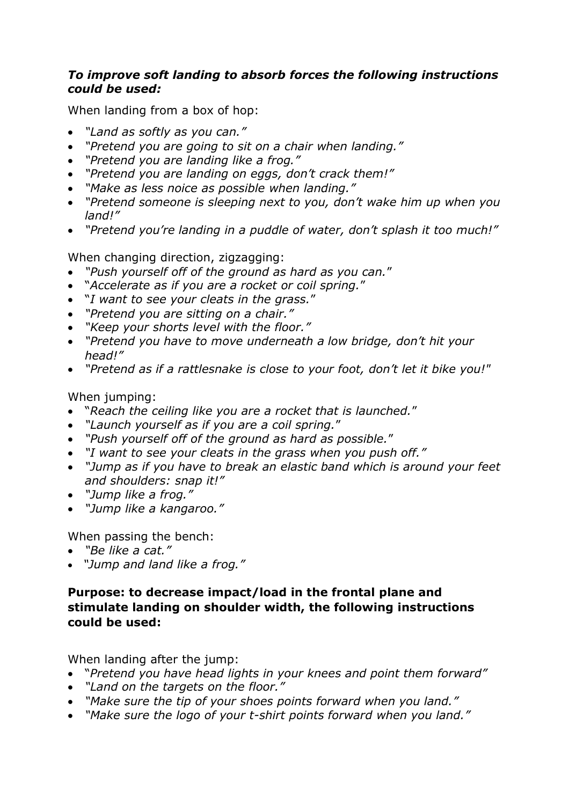## *To improve soft landing to absorb forces the following instructions could be used:*

When landing from a box of hop:

- *"Land as softly as you can."*
- *"Pretend you are going to sit on a chair when landing."*
- *"Pretend you are landing like a frog."*
- *"Pretend you are landing on eggs, don't crack them!"*
- *"Make as less noice as possible when landing."*
- *"Pretend someone is sleeping next to you, don't wake him up when you land!"*
- *"Pretend you're landing in a puddle of water, don't splash it too much!"*

When changing direction, zigzagging:

- *"Push yourself off of the ground as hard as you can.*"
- "*Accelerate as if you are a rocket or coil spring.*"
- "*I want to see your cleats in the grass.*"
- *"Pretend you are sitting on a chair."*
- *"Keep your shorts level with the floor."*
- *"Pretend you have to move underneath a low bridge, don't hit your head!"*
- *"Pretend as if a rattlesnake is close to your foot, don't let it bike you!"*

## When jumping:

- "*Reach the ceiling like you are a rocket that is launched.*"
- *"Launch yourself as if you are a coil spring.*"
- *"Push yourself off of the ground as hard as possible.*"
- *"I want to see your cleats in the grass when you push off."*
- *"Jump as if you have to break an elastic band which is around your feet and shoulders: snap it!"*
- *"Jump like a frog."*
- *"Jump like a kangaroo."*

When passing the bench:

- *"Be like a cat."*
- *"Jump and land like a frog."*

## **Purpose: to decrease impact/load in the frontal plane and stimulate landing on shoulder width, the following instructions could be used:**

When landing after the jump:

- "*Pretend you have head lights in your knees and point them forward"*
- *"Land on the targets on the floor."*
- *"Make sure the tip of your shoes points forward when you land."*
- *"Make sure the logo of your t-shirt points forward when you land."*